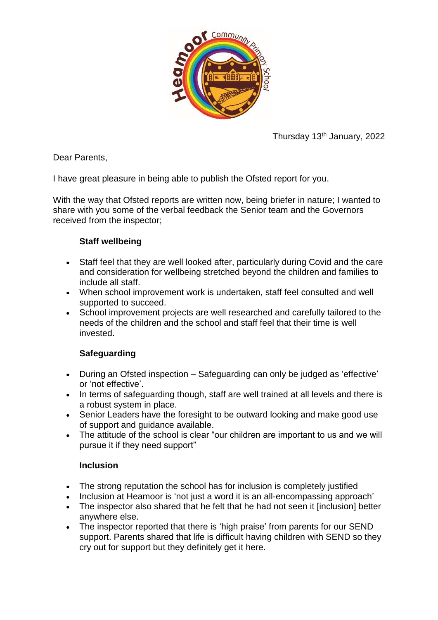

Thursday 13<sup>th</sup> January, 2022

Dear Parents,

I have great pleasure in being able to publish the Ofsted report for you.

With the way that Ofsted reports are written now, being briefer in nature; I wanted to share with you some of the verbal feedback the Senior team and the Governors received from the inspector;

### **Staff wellbeing**

- Staff feel that they are well looked after, particularly during Covid and the care and consideration for wellbeing stretched beyond the children and families to include all staff.
- When school improvement work is undertaken, staff feel consulted and well supported to succeed.
- School improvement projects are well researched and carefully tailored to the needs of the children and the school and staff feel that their time is well invested.

# **Safeguarding**

- During an Ofsted inspection Safeguarding can only be judged as 'effective' or 'not effective'.
- In terms of safeguarding though, staff are well trained at all levels and there is a robust system in place.
- Senior Leaders have the foresight to be outward looking and make good use of support and guidance available.
- The attitude of the school is clear "our children are important to us and we will pursue it if they need support"

#### **Inclusion**

- The strong reputation the school has for inclusion is completely justified
- Inclusion at Heamoor is 'not just a word it is an all-encompassing approach'
- The inspector also shared that he felt that he had not seen it [inclusion] better anywhere else.
- The inspector reported that there is 'high praise' from parents for our SEND support. Parents shared that life is difficult having children with SEND so they cry out for support but they definitely get it here.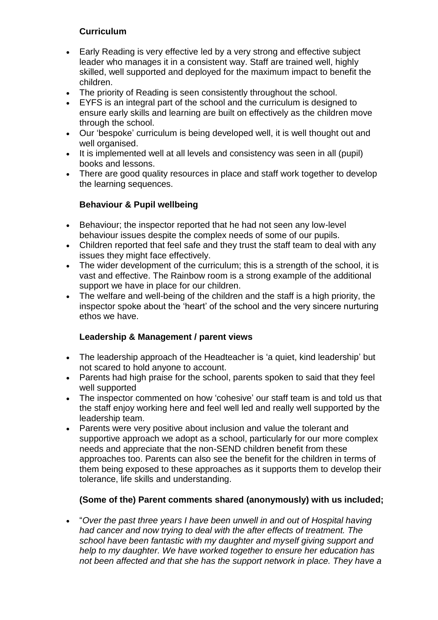### **Curriculum**

- Early Reading is very effective led by a very strong and effective subject leader who manages it in a consistent way. Staff are trained well, highly skilled, well supported and deployed for the maximum impact to benefit the children.
- The priority of Reading is seen consistently throughout the school.
- EYFS is an integral part of the school and the curriculum is designed to ensure early skills and learning are built on effectively as the children move through the school.
- Our 'bespoke' curriculum is being developed well, it is well thought out and well organised.
- It is implemented well at all levels and consistency was seen in all (pupil) books and lessons.
- There are good quality resources in place and staff work together to develop the learning sequences.

### **Behaviour & Pupil wellbeing**

- Behaviour; the inspector reported that he had not seen any low-level behaviour issues despite the complex needs of some of our pupils.
- Children reported that feel safe and they trust the staff team to deal with any issues they might face effectively.
- The wider development of the curriculum; this is a strength of the school, it is vast and effective. The Rainbow room is a strong example of the additional support we have in place for our children.
- The welfare and well-being of the children and the staff is a high priority, the inspector spoke about the 'heart' of the school and the very sincere nurturing ethos we have.

# **Leadership & Management / parent views**

- The leadership approach of the Headteacher is 'a quiet, kind leadership' but not scared to hold anyone to account.
- Parents had high praise for the school, parents spoken to said that they feel well supported
- The inspector commented on how 'cohesive' our staff team is and told us that the staff enjoy working here and feel well led and really well supported by the leadership team.
- Parents were very positive about inclusion and value the tolerant and supportive approach we adopt as a school, particularly for our more complex needs and appreciate that the non-SEND children benefit from these approaches too. Parents can also see the benefit for the children in terms of them being exposed to these approaches as it supports them to develop their tolerance, life skills and understanding.

# **(Some of the) Parent comments shared (anonymously) with us included;**

• "*Over the past three years I have been unwell in and out of Hospital having had cancer and now trying to deal with the after effects of treatment. The school have been fantastic with my daughter and myself giving support and help to my daughter. We have worked together to ensure her education has not been affected and that she has the support network in place. They have a*